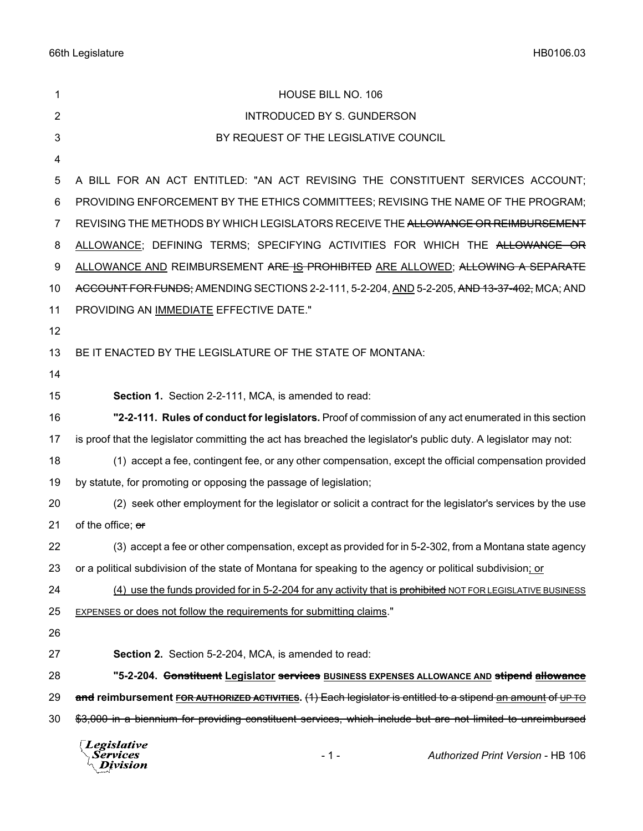| 1              | HOUSE BILL NO. 106                                                                                               |
|----------------|------------------------------------------------------------------------------------------------------------------|
| $\overline{2}$ | <b>INTRODUCED BY S. GUNDERSON</b>                                                                                |
| 3              | BY REQUEST OF THE LEGISLATIVE COUNCIL                                                                            |
| 4              |                                                                                                                  |
| 5              | A BILL FOR AN ACT ENTITLED: "AN ACT REVISING THE CONSTITUENT SERVICES ACCOUNT;                                   |
| 6              | PROVIDING ENFORCEMENT BY THE ETHICS COMMITTEES; REVISING THE NAME OF THE PROGRAM;                                |
| 7              | REVISING THE METHODS BY WHICH LEGISLATORS RECEIVE THE ALLOWANCE OR REIMBURSEMENT                                 |
| 8              | ALLOWANCE; DEFINING TERMS; SPECIFYING ACTIVITIES FOR WHICH THE ALLOWANCE OR                                      |
| 9              | ALLOWANCE AND REIMBURSEMENT ARE IS PROHIBITED ARE ALLOWED; ALLOWING A SEPARATE                                   |
| 10             | ACCOUNT FOR FUNDS; AMENDING SECTIONS 2-2-111, 5-2-204, AND 5-2-205, AND 13-37-402, MCA; AND                      |
| 11             | PROVIDING AN IMMEDIATE EFFECTIVE DATE."                                                                          |
| 12             |                                                                                                                  |
| 13             | BE IT ENACTED BY THE LEGISLATURE OF THE STATE OF MONTANA:                                                        |
| 14             |                                                                                                                  |
| 15             | Section 1. Section 2-2-111, MCA, is amended to read:                                                             |
| 16             | "2-2-111. Rules of conduct for legislators. Proof of commission of any act enumerated in this section            |
| 17             | is proof that the legislator committing the act has breached the legislator's public duty. A legislator may not: |
| 18             | (1) accept a fee, contingent fee, or any other compensation, except the official compensation provided           |
| 19             | by statute, for promoting or opposing the passage of legislation;                                                |
| 20             | (2) seek other employment for the legislator or solicit a contract for the legislator's services by the use      |
| 21             | of the office; or                                                                                                |
| 22             | (3) accept a fee or other compensation, except as provided for in 5-2-302, from a Montana state agency           |
| 23             | or a political subdivision of the state of Montana for speaking to the agency or political subdivision; or       |
| 24             | (4) use the funds provided for in 5-2-204 for any activity that is prohibited NOT FOR LEGISLATIVE BUSINESS       |
| 25             | <b>EXPENSES or does not follow the requirements for submitting claims."</b>                                      |
| 26             |                                                                                                                  |
| 27             | <b>Section 2.</b> Section 5-2-204, MCA, is amended to read:                                                      |
| 28             | "5-2-204. <del>Constituent</del> Legislator services BUSINESS EXPENSES ALLOWANCE AND stipend allowance           |
| 29             | and reimbursement FOR AUTHORIZED ACTIVITIES. (1) Each legislator is entitled to a stipend an amount of UP TO     |
| 30             | \$3,000 in a biennium for providing constituent services, which include but are not limited to unreimbursed      |
|                | $\sqrt{L}$ <i>Expislative</i>                                                                                    |

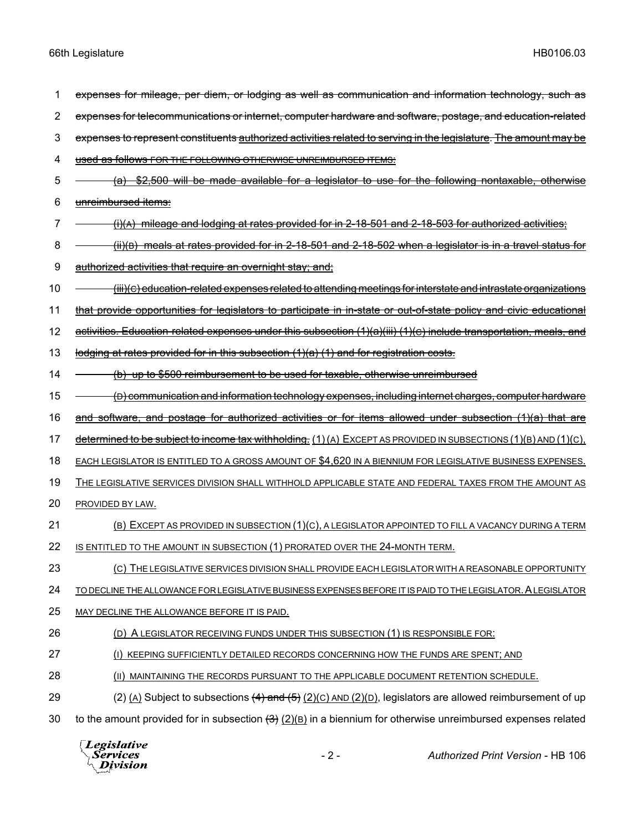| 1  | expenses for mileage, per diem, or lodging as well as communication and information technology, such as                   |
|----|---------------------------------------------------------------------------------------------------------------------------|
| 2  | expenses for telecommunications or internet, computer hardware and software, postage, and education-related               |
| 3  | expenses to represent constituents authorized activities related to serving in the legislature. The amount may be         |
| 4  | used as follows FOR THE FOLLOWING OTHERWISE UNREIMBURSED ITEMS:                                                           |
| 5  | \$2,500 will be made available for a legislator to use for the following nontaxable, otherwise<br><del>(a)</del>          |
| 6  | unreimbursed items:                                                                                                       |
| 7  | $(i)$ (A) mileage and lodging at rates provided for in 2-18-501 and 2-18-503 for authorized activities;                   |
| 8  | (ii)(B) meals at rates provided for in 2-18-501 and 2-18-502 when a legislator is in a travel status for                  |
| 9  | <u>authorized activities that require an overnight stay; and;</u>                                                         |
| 10 | <del>(iii)(c) education-related expenses related to attending meetings for interstate and intrastate organizations</del>  |
| 11 | that provide opportunities for legislators to participate in in-state or out-of-state policy and civic educational        |
| 12 | <u>activities. Education-related expenses under this subsection (1)(a)(iii) (1)(c) include transportation, meals, and</u> |
| 13 | lodging at rates provided for in this subsection (1)(a) (1) and for registration costs.                                   |
| 14 | (b) up to \$500 reimbursement to be used for taxable, otherwise unreimbursed                                              |
| 15 | <del>(D) communication and information technology expenses, including internet charges, computer hardware</del>           |
| 16 | and software, and postage for authorized activities or for items allowed under subsection (1)(a) that are                 |
| 17 | determined to be subject to income tax withholding. (1)(A) EXCEPT AS PROVIDED IN SUBSECTIONS (1)(B) AND (1)(C),           |
| 18 | EACH LEGISLATOR IS ENTITLED TO A GROSS AMOUNT OF \$4,620 IN A BIENNIUM FOR LEGISLATIVE BUSINESS EXPENSES.                 |
| 19 | THE LEGISLATIVE SERVICES DIVISION SHALL WITHHOLD APPLICABLE STATE AND FEDERAL TAXES FROM THE AMOUNT AS                    |
| 20 | PROVIDED BY LAW.                                                                                                          |
| 21 | (B) EXCEPT AS PROVIDED IN SUBSECTION (1)(C), A LEGISLATOR APPOINTED TO FILL A VACANCY DURING A TERM                       |
| 22 | IS ENTITLED TO THE AMOUNT IN SUBSECTION (1) PRORATED OVER THE 24-MONTH TERM.                                              |
| 23 | (C) THE LEGISLATIVE SERVICES DIVISION SHALL PROVIDE EACH LEGISLATOR WITH A REASONABLE OPPORTUNITY                         |
| 24 | TO DECLINE THE ALLOWANCE FOR LEGISLATIVE BUSINESS EXPENSES BEFORE IT IS PAID TO THE LEGISLATOR. A LEGISLATOR              |
| 25 | MAY DECLINE THE ALLOWANCE BEFORE IT IS PAID.                                                                              |
| 26 | (D) A LEGISLATOR RECEIVING FUNDS UNDER THIS SUBSECTION (1) IS RESPONSIBLE FOR:                                            |
| 27 | (I) KEEPING SUFFICIENTLY DETAILED RECORDS CONCERNING HOW THE FUNDS ARE SPENT; AND                                         |
| 28 | (II) MAINTAINING THE RECORDS PURSUANT TO THE APPLICABLE DOCUMENT RETENTION SCHEDULE.                                      |
| 29 | (2) (A) Subject to subsections $(4)$ and $(5)$ (2)(c) AND (2)(D), legislators are allowed reimbursement of up             |
| 30 | to the amount provided for in subsection $(3)(8)(8)$ in a biennium for otherwise unreimbursed expenses related            |
|    | <i>Legislative</i>                                                                                                        |

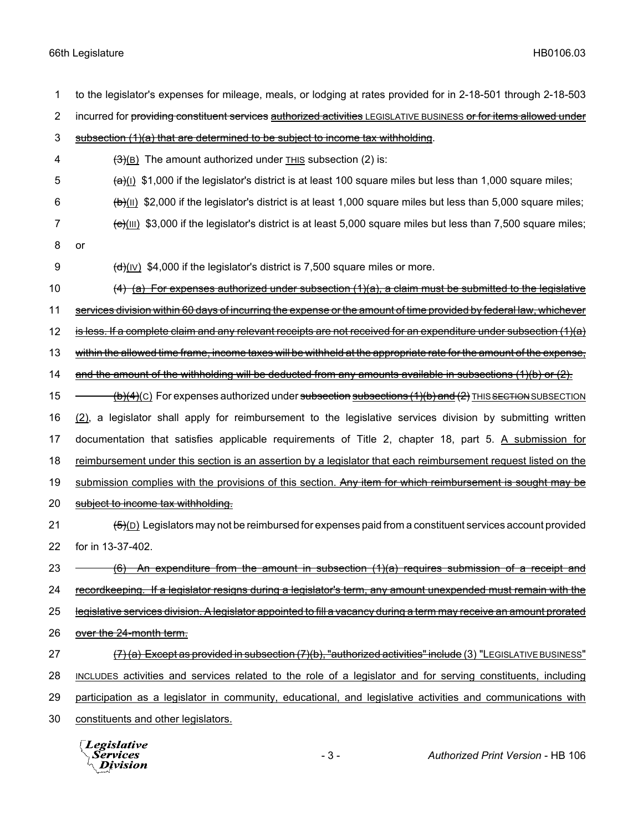1 to the legislator's expenses for mileage, meals, or lodging at rates provided for in 2-18-501 through 2-18-503 2 incurred for providing constituent services authorized activities LEGISLATIVE BUSINESS or for items allowed under 3 subsection  $(1)(a)$  that are determined to be subject to income tax withholding. 4  $\left(\frac{3}{8}\right)$  The amount authorized under THIS subsection (2) is:  $\frac{1}{2}$  (a)(I) \$1,000 if the legislator's district is at least 100 square miles but less than 1,000 square miles; 6  $(b)$ (II) \$2,000 if the legislator's district is at least 1,000 square miles but less than 5,000 square miles; 7  $\left(\frac{e}{10}\right)$  \$3,000 if the legislator's district is at least 5,000 square miles but less than 7,500 square miles; 8 or 9  $(d)(V)$  \$4,000 if the legislator's district is 7,500 square miles or more. 10  $(4)$  (a) For expenses authorized under subsection (1)(a), a claim must be submitted to the legislative 11 services division within 60 days of incurring the expense or the amount of time provided by federal law, whichever 12 is less. If a complete claim and any relevant receipts are not received for an expenditure under subsection  $(1)(a)$ 13 within the allowed time frame, income taxes will be withheld at the appropriate rate for the amount of the expense, 14 and the amount of the withholding will be deducted from any amounts available in subsections (1)(b) or (2). 15  $(b)(4)(c)$  For expenses authorized under subsection subsections (1)(b) and (2) THIS SECTION SUBSECTION 16 (2), a legislator shall apply for reimbursement to the legislative services division by submitting written 17 documentation that satisfies applicable requirements of Title 2, chapter 18, part 5. A submission for 18 reimbursement under this section is an assertion by a legislator that each reimbursement request listed on the 19 submission complies with the provisions of this section. Any item for which reimbursement is sought may be 20 subject to income tax withholding. 21  $(5)(D)$  Legislators may not be reimbursed for expenses paid from a constituent services account provided 22 for in 13-37-402. 23  $-$  (6) An expenditure from the amount in subsection (1)(a) requires submission of a receipt and 24 recordkeeping. If a legislator resigns during a legislator's term, any amount unexpended must remain with the 25 legislative services division. A legislator appointed to fill a vacancy during a term may receive an amount prorated 26 over the 24-month term. 27 (7) (a) Except as provided in subsection (7)(b), "authorized activities" include (3) "LEGISLATIVE BUSINESS" 28 INCLUDES activities and services related to the role of a legislator and for serving constituents, including 29 participation as a legislator in community, educational, and legislative activities and communications with 30 constituents and other legislators.

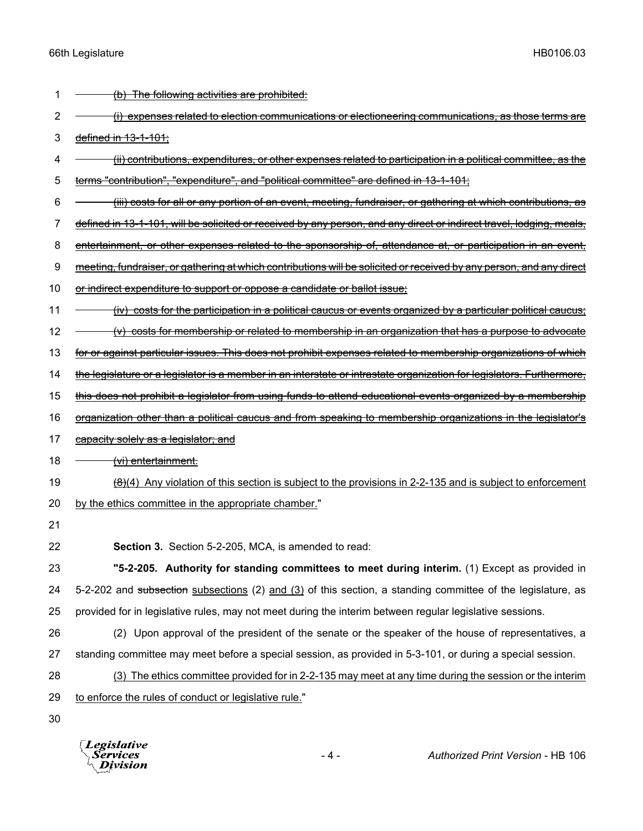| 1  | (b) The following activities are prohibited:                                                                                             |
|----|------------------------------------------------------------------------------------------------------------------------------------------|
| 2  | (i) expenses related to election communications or electioneering communications, as those terms are                                     |
| 3  | defined in 13-1-101;                                                                                                                     |
| 4  | <del>(ii) contributions, expenditures, or other expenses related to participation in a political committee, as the</del>                 |
| 5  | terms "contribution", "expenditure", and "political committee" are defined in 13-1-101;                                                  |
| 6  | <u>(iii) costs for all or any portion of an event, meeting, fundraiser, or gathering at which contributions, as</u>                      |
| 7  | defined in 13-1-101, will be solicited or received by any person, and any direct or indirect travel, lodging, meals,                     |
| 8  | entertainment, or other expenses related to the sponsorship of, attendance at, or participation in an event,                             |
| 9  | meeting, fundraiser, or gathering at which contributions will be solicited or received by any person, and any direct                     |
| 10 | <del>or indirect expenditure to support or oppose a candidate or ballot issue;</del>                                                     |
| 11 | (iv) costs for the participation in a political caucus or events organized by a particular political caucus;                             |
| 12 | $(v)$ costs for membership or related to membership in an organization that has a purpose to advocate                                    |
| 13 | for or against particular issues. This does not prohibit expenses related to membership organizations of which                           |
| 14 | the legislature or a legislator is a member in an interstate or intrastate organization for legislators. Furthermore,                    |
| 15 | this does not prohibit a legislator from using funds to attend educational events organized by a membership                              |
| 16 | organization other than a political caucus and from speaking to membership organizations in the legislator's                             |
| 17 | capacity solely as a legislator; and                                                                                                     |
| 18 | <u>(vi) entertainment.</u>                                                                                                               |
| 19 | $\left(\frac{\theta}{\theta}\right)$ Any violation of this section is subject to the provisions in 2-2-135 and is subject to enforcement |
| 20 | by the ethics committee in the appropriate chamber."                                                                                     |
| 21 |                                                                                                                                          |
| 22 | <b>Section 3.</b> Section 5-2-205, MCA, is amended to read:                                                                              |
| 23 | "5-2-205. Authority for standing committees to meet during interim. (1) Except as provided in                                            |
| 24 | 5-2-202 and subsection subsections (2) and (3) of this section, a standing committee of the legislature, as                              |
| 25 | provided for in legislative rules, may not meet during the interim between regular legislative sessions.                                 |
| 26 | (2) Upon approval of the president of the senate or the speaker of the house of representatives, a                                       |
| 27 | standing committee may meet before a special session, as provided in 5-3-101, or during a special session.                               |
| 28 | (3) The ethics committee provided for in 2-2-135 may meet at any time during the session or the interim                                  |
| 29 | to enforce the rules of conduct or legislative rule."                                                                                    |
| 30 |                                                                                                                                          |
|    |                                                                                                                                          |

*Legislative*<br>Services<br>*Division*